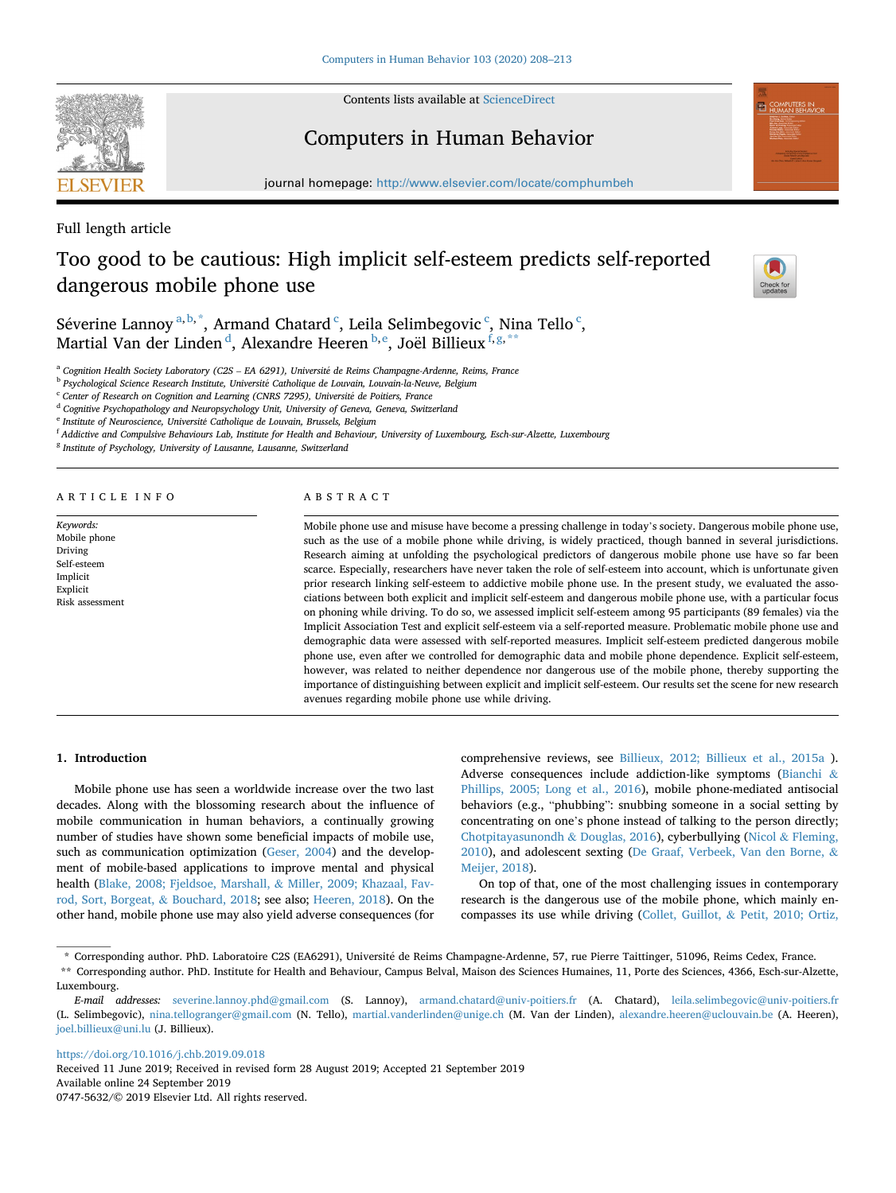

Contents lists available at [ScienceDirect](www.sciencedirect.com/science/journal/07475632)

# Computers in Human Behavior

journal homepage: [http://www.elsevier.com/locate/comphumbeh](https://http://www.elsevier.com/locate/comphumbeh) 

Full length article

# Too good to be cautious: High implicit self-esteem predicts self-reported dangerous mobile phone use



Séverine Lannoy $^{\mathrm{a,b,*}},$  Armand Chatard  $^{\mathrm{c}},$  Leila Selimbegovic  $^{\mathrm{c}},$  Nina Tello  $^{\mathrm{c}},$ Martial Van der Linden<sup>d</sup>, Alexandre Heeren<sup>b,e</sup>, Joël Billieux<sup>f,g,\*\*</sup>

<sup>a</sup> Cognition Health Society Laboratory (C2S - EA 6291), Université de Reims Champagne-Ardenne, Reims, France

<sup>b</sup> Psychological Science Research Institute, Université Catholique de Louvain, Louvain-la-Neuve, Belgium

<sup>c</sup> *Center of Research on Cognition and Learning (CNRS 7295), Universit*�*e de Poitiers, France* 

<sup>d</sup> *Cognitive Psychopathology and Neuropsychology Unit, University of Geneva, Geneva, Switzerland* 

<sup>e</sup> *Institute of Neuroscience, Universit*�*e Catholique de Louvain, Brussels, Belgium* 

<sup>f</sup> *Addictive and Compulsive Behaviours Lab, Institute for Health and Behaviour, University of Luxembourg, Esch-sur-Alzette, Luxembourg* 

<sup>g</sup> *Institute of Psychology, University of Lausanne, Lausanne, Switzerland* 

ARTICLE INFO

*Keywords:*  Mobile phone Driving Self-esteem Implicit Explicit Risk assessment

# ABSTRACT

Mobile phone use and misuse have become a pressing challenge in today's society. Dangerous mobile phone use, such as the use of a mobile phone while driving, is widely practiced, though banned in several jurisdictions. Research aiming at unfolding the psychological predictors of dangerous mobile phone use have so far been scarce. Especially, researchers have never taken the role of self-esteem into account, which is unfortunate given prior research linking self-esteem to addictive mobile phone use. In the present study, we evaluated the associations between both explicit and implicit self-esteem and dangerous mobile phone use, with a particular focus on phoning while driving. To do so, we assessed implicit self-esteem among 95 participants (89 females) via the Implicit Association Test and explicit self-esteem via a self-reported measure. Problematic mobile phone use and demographic data were assessed with self-reported measures. Implicit self-esteem predicted dangerous mobile phone use, even after we controlled for demographic data and mobile phone dependence. Explicit self-esteem, however, was related to neither dependence nor dangerous use of the mobile phone, thereby supporting the importance of distinguishing between explicit and implicit self-esteem. Our results set the scene for new research avenues regarding mobile phone use while driving.

# **1. Introduction**

Mobile phone use has seen a worldwide increase over the two last decades. Along with the blossoming research about the influence of mobile communication in human behaviors, a continually growing number of studies have shown some beneficial impacts of mobile use, such as communication optimization [\(Geser, 2004\)](#page-5-0) and the development of mobile-based applications to improve mental and physical health ([Blake, 2008; Fjeldsoe, Marshall,](#page-4-0) & Miller, 2009; Khazaal, Fav[rod, Sort, Borgeat,](#page-4-0) & Bouchard, 2018; see also; [Heeren, 2018\)](#page-5-0). On the other hand, mobile phone use may also yield adverse consequences (for

comprehensive reviews, see [Billieux, 2012; Billieux et al., 2015a](#page-4-0) ). Adverse consequences include addiction-like symptoms [\(Bianchi](#page-4-0) & [Phillips, 2005; Long et al., 2016](#page-4-0)), mobile phone-mediated antisocial behaviors (e.g., "phubbing": snubbing someone in a social setting by concentrating on one's phone instead of talking to the person directly; [Chotpitayasunondh](#page-4-0) & Douglas, 2016), cyberbullying (Nicol & [Fleming,](#page-5-0)  [2010\)](#page-5-0), and adolescent sexting ([De Graaf, Verbeek, Van den Borne,](#page-4-0) & [Meijer, 2018\)](#page-4-0).

On top of that, one of the most challenging issues in contemporary research is the dangerous use of the mobile phone, which mainly encompasses its use while driving (Collet, Guillot, & [Petit, 2010; Ortiz,](#page-4-0) 

<https://doi.org/10.1016/j.chb.2019.09.018>

Available online 24 September 2019 0747-5632/© 2019 Elsevier Ltd. All rights reserved. Received 11 June 2019; Received in revised form 28 August 2019; Accepted 21 September 2019

<sup>\*</sup> Corresponding author. PhD. Laboratoire C2S (EA6291), Universit�e de Reims Champagne-Ardenne, 57, rue Pierre Taittinger, 51096, Reims Cedex, France. \*\* Corresponding author. PhD. Institute for Health and Behaviour, Campus Belval, Maison des Sciences Humaines, 11, Porte des Sciences, 4366, Esch-sur-Alzette, Luxembourg.

*E-mail addresses:* [severine.lannoy.phd@gmail.com](mailto:severine.lannoy.phd@gmail.com) (S. Lannoy), [armand.chatard@univ-poitiers.fr](mailto:armand.chatard@univ-poitiers.fr) (A. Chatard), [leila.selimbegovic@univ-poitiers.fr](mailto:leila.selimbegovic@univ-poitiers.fr)  (L. Selimbegovic), [nina.tellogranger@gmail.com](mailto:nina.tellogranger@gmail.com) (N. Tello), [martial.vanderlinden@unige.ch](mailto:martial.vanderlinden@unige.ch) (M. Van der Linden), [alexandre.heeren@uclouvain.be](mailto:alexandre.heeren@uclouvain.be) (A. Heeren), [joel.billieux@uni.lu](mailto:joel.billieux@uni.lu) (J. Billieux).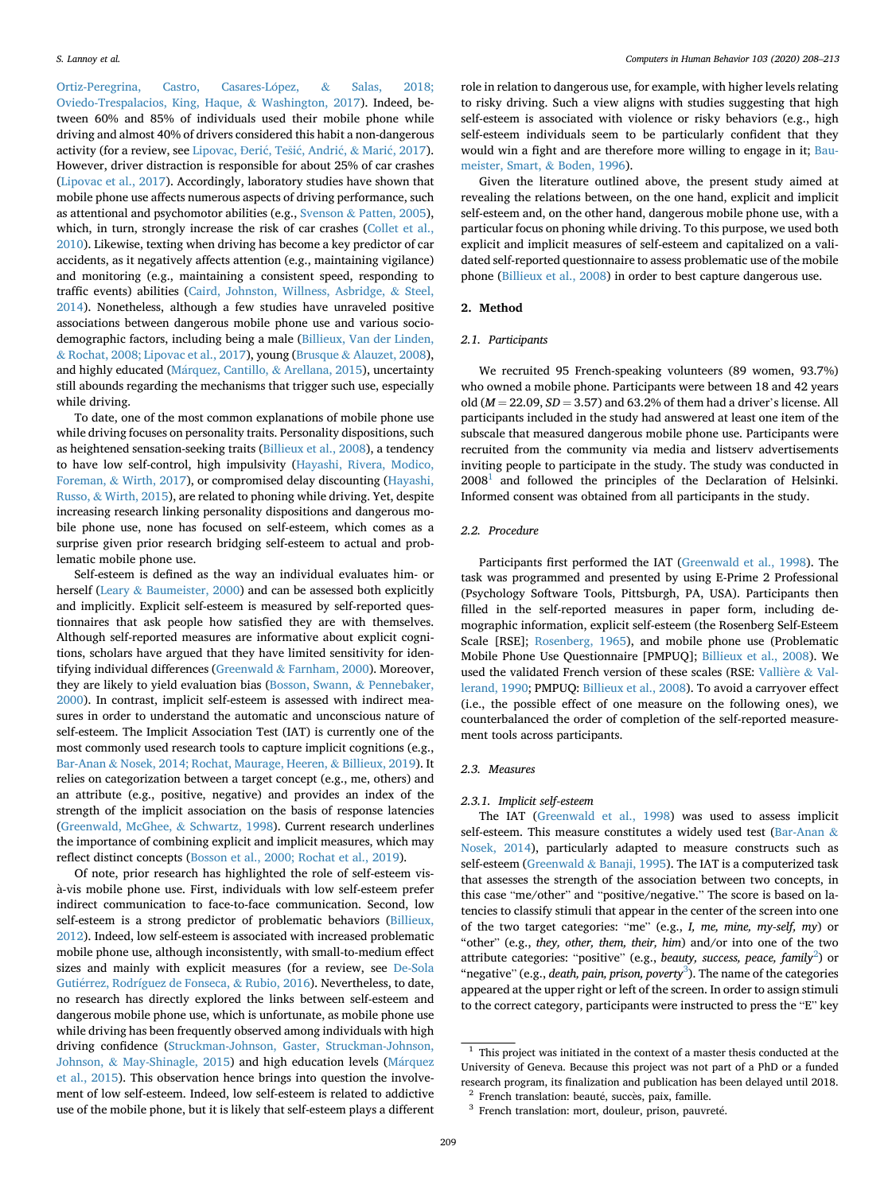<span id="page-1-0"></span>Ortiz-Peregrina, Castro, Casares-López, & Salas, 2018; [Oviedo-Trespalacios, King, Haque,](#page-4-0) & Washington, 2017). Indeed, between 60% and 85% of individuals used their mobile phone while driving and almost 40% of drivers considered this habit a non-dangerous activity (for a review, see [Lipovac,](#page-5-0) Đerić, Tešić, Andrić, & Marić, 2017). However, driver distraction is responsible for about 25% of car crashes ([Lipovac et al., 2017](#page-5-0)). Accordingly, laboratory studies have shown that mobile phone use affects numerous aspects of driving performance, such as attentional and psychomotor abilities (e.g., Svenson & [Patten, 2005](#page-5-0)), which, in turn, strongly increase the risk of car crashes [\(Collet et al.,](#page-4-0)  [2010\)](#page-4-0). Likewise, texting when driving has become a key predictor of car accidents, as it negatively affects attention (e.g., maintaining vigilance) and monitoring (e.g., maintaining a consistent speed, responding to traffic events) abilities [\(Caird, Johnston, Willness, Asbridge,](#page-4-0) & Steel, [2014\)](#page-4-0). Nonetheless, although a few studies have unraveled positive associations between dangerous mobile phone use and various sociodemographic factors, including being a male ([Billieux, Van der Linden,](#page-4-0)  & [Rochat, 2008; Lipovac et al., 2017\)](#page-4-0), young (Brusque & [Alauzet, 2008](#page-4-0)), and highly educated (Márquez, Cantillo, & [Arellana, 2015\)](#page-5-0), uncertainty still abounds regarding the mechanisms that trigger such use, especially while driving.

To date, one of the most common explanations of mobile phone use while driving focuses on personality traits. Personality dispositions, such as heightened sensation-seeking traits [\(Billieux et al., 2008](#page-4-0)), a tendency to have low self-control, high impulsivity ([Hayashi, Rivera, Modico,](#page-5-0)  Foreman, & [Wirth, 2017\)](#page-5-0), or compromised delay discounting ([Hayashi,](#page-5-0)  Russo, & [Wirth, 2015](#page-5-0)), are related to phoning while driving. Yet, despite increasing research linking personality dispositions and dangerous mobile phone use, none has focused on self-esteem, which comes as a surprise given prior research bridging self-esteem to actual and problematic mobile phone use.

Self-esteem is defined as the way an individual evaluates him- or herself (Leary & [Baumeister, 2000](#page-5-0)) and can be assessed both explicitly and implicitly. Explicit self-esteem is measured by self-reported questionnaires that ask people how satisfied they are with themselves. Although self-reported measures are informative about explicit cognitions, scholars have argued that they have limited sensitivity for identifying individual differences (Greenwald & [Farnham, 2000](#page-5-0)). Moreover, they are likely to yield evaluation bias [\(Bosson, Swann,](#page-4-0) & Pennebaker, [2000\)](#page-4-0). In contrast, implicit self-esteem is assessed with indirect measures in order to understand the automatic and unconscious nature of self-esteem. The Implicit Association Test (IAT) is currently one of the most commonly used research tools to capture implicit cognitions (e.g., Bar-Anan & [Nosek, 2014; Rochat, Maurage, Heeren,](#page-4-0) & Billieux, 2019). It relies on categorization between a target concept (e.g., me, others) and an attribute (e.g., positive, negative) and provides an index of the strength of the implicit association on the basis of response latencies ([Greenwald, McGhee,](#page-5-0) & Schwartz, 1998). Current research underlines the importance of combining explicit and implicit measures, which may reflect distinct concepts ([Bosson et al., 2000; Rochat et al., 2019\)](#page-4-0).

Of note, prior research has highlighted the role of self-esteem visà-vis mobile phone use. First, individuals with low self-esteem prefer indirect communication to face-to-face communication. Second, low self-esteem is a strong predictor of problematic behaviors (Billieux, [2012\)](#page-4-0). Indeed, low self-esteem is associated with increased problematic mobile phone use, although inconsistently, with small-to-medium effect sizes and mainly with explicit measures (for a review, see [De-Sola](#page-4-0)  Gutiérrez, Rodríguez de Fonseca, & Rubio, 2016). Nevertheless, to date, no research has directly explored the links between self-esteem and dangerous mobile phone use, which is unfortunate, as mobile phone use while driving has been frequently observed among individuals with high driving confidence [\(Struckman-Johnson, Gaster, Struckman-Johnson,](#page-5-0)  Johnson, & [May-Shinagle, 2015\)](#page-5-0) and high education levels (Márquez [et al., 2015\)](#page-5-0). This observation hence brings into question the involvement of low self-esteem. Indeed, low self-esteem is related to addictive use of the mobile phone, but it is likely that self-esteem plays a different

role in relation to dangerous use, for example, with higher levels relating to risky driving. Such a view aligns with studies suggesting that high self-esteem is associated with violence or risky behaviors (e.g., high self-esteem individuals seem to be particularly confident that they would win a fight and are therefore more willing to engage in it; [Bau](#page-4-0)[meister, Smart,](#page-4-0) & Boden, 1996).

Given the literature outlined above, the present study aimed at revealing the relations between, on the one hand, explicit and implicit self-esteem and, on the other hand, dangerous mobile phone use, with a particular focus on phoning while driving. To this purpose, we used both explicit and implicit measures of self-esteem and capitalized on a validated self-reported questionnaire to assess problematic use of the mobile phone ([Billieux et al., 2008](#page-4-0)) in order to best capture dangerous use.

# **2. Method**

#### *2.1. Participants*

We recruited 95 French-speaking volunteers (89 women, 93.7%) who owned a mobile phone. Participants were between 18 and 42 years old ( $M = 22.09$ ,  $SD = 3.57$ ) and 63.2% of them had a driver's license. All participants included in the study had answered at least one item of the subscale that measured dangerous mobile phone use. Participants were recruited from the community via media and listserv advertisements inviting people to participate in the study. The study was conducted in  $2008<sup>1</sup>$  and followed the principles of the Declaration of Helsinki. Informed consent was obtained from all participants in the study.

# *2.2. Procedure*

Participants first performed the IAT [\(Greenwald et al., 1998](#page-5-0)). The task was programmed and presented by using E-Prime 2 Professional (Psychology Software Tools, Pittsburgh, PA, USA). Participants then filled in the self-reported measures in paper form, including demographic information, explicit self-esteem (the Rosenberg Self-Esteem Scale [RSE]; [Rosenberg, 1965\)](#page-5-0), and mobile phone use (Problematic Mobile Phone Use Questionnaire [PMPUQ]; [Billieux et al., 2008](#page-4-0)). We used the validated French version of these scales (RSE: [Valli](#page-5-0)ère & Val[lerand, 1990](#page-5-0); PMPUQ: [Billieux et al., 2008](#page-4-0)). To avoid a carryover effect (i.e., the possible effect of one measure on the following ones), we counterbalanced the order of completion of the self-reported measurement tools across participants.

#### *2.3. Measures*

# *2.3.1. Implicit self-esteem*

The IAT [\(Greenwald et al., 1998\)](#page-5-0) was used to assess implicit self-esteem. This measure constitutes a widely used test [\(Bar-Anan](#page-4-0) & [Nosek, 2014](#page-4-0)), particularly adapted to measure constructs such as self-esteem (Greenwald & [Banaji, 1995\)](#page-5-0). The IAT is a computerized task that assesses the strength of the association between two concepts, in this case "me/other" and "positive/negative." The score is based on latencies to classify stimuli that appear in the center of the screen into one of the two target categories: "me" (e.g., *I, me, mine, my-self, my*) or "other" (e.g., *they, other, them, their, him*) and/or into one of the two attribute categories: "positive" (e.g., *beauty, success, peace, family*<sup>2</sup>) or "negative" (e.g., *death, pain, prison, poverty*<sup>3</sup>). The name of the categories appeared at the upper right or left of the screen. In order to assign stimuli to the correct category, participants were instructed to press the "E" key

 $1$  This project was initiated in the context of a master thesis conducted at the University of Geneva. Because this project was not part of a PhD or a funded research program, its finalization and publication has been delayed until 2018.<br><sup>2</sup> French translation: beauté, succès, paix, famille. <sup>3</sup> French translation: mort, douleur, prison, pauvreté.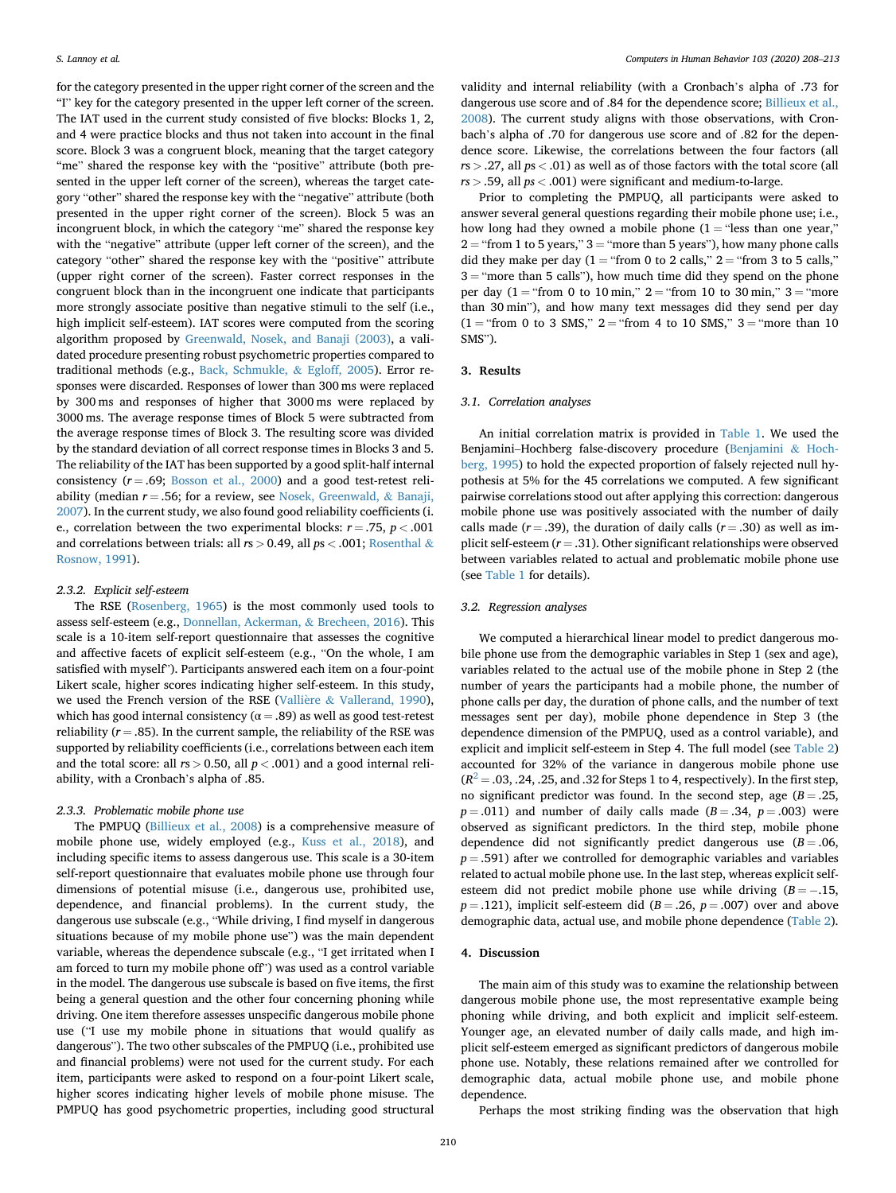for the category presented in the upper right corner of the screen and the "I" key for the category presented in the upper left corner of the screen. The IAT used in the current study consisted of five blocks: Blocks 1, 2, and 4 were practice blocks and thus not taken into account in the final score. Block 3 was a congruent block, meaning that the target category "me" shared the response key with the "positive" attribute (both presented in the upper left corner of the screen), whereas the target category "other" shared the response key with the "negative" attribute (both presented in the upper right corner of the screen). Block 5 was an incongruent block, in which the category "me" shared the response key with the "negative" attribute (upper left corner of the screen), and the category "other" shared the response key with the "positive" attribute (upper right corner of the screen). Faster correct responses in the congruent block than in the incongruent one indicate that participants more strongly associate positive than negative stimuli to the self (i.e., high implicit self-esteem). IAT scores were computed from the scoring algorithm proposed by [Greenwald, Nosek, and Banaji \(2003\)](#page-5-0), a validated procedure presenting robust psychometric properties compared to traditional methods (e.g., [Back, Schmukle,](#page-4-0) & Egloff, 2005). Error responses were discarded. Responses of lower than 300 ms were replaced by 300 ms and responses of higher that 3000 ms were replaced by 3000 ms. The average response times of Block 5 were subtracted from the average response times of Block 3. The resulting score was divided by the standard deviation of all correct response times in Blocks 3 and 5. The reliability of the IAT has been supported by a good split-half internal consistency  $(r = .69;$  [Bosson et al., 2000](#page-4-0)) and a good test-retest reliability (median  $r = .56$ ; for a review, see [Nosek, Greenwald,](#page-5-0) & Banaji, [2007\)](#page-5-0). In the current study, we also found good reliability coefficients (i. e., correlation between the two experimental blocks:  $r = .75$ ,  $p < .001$ and correlations between trials: all *r*s *>* 0.49, all *p*s *<* .001; [Rosenthal](#page-5-0) & [Rosnow, 1991\)](#page-5-0).

# *2.3.2. Explicit self-esteem*

The RSE [\(Rosenberg, 1965](#page-5-0)) is the most commonly used tools to assess self-esteem (e.g., [Donnellan, Ackerman,](#page-4-0) & Brecheen, 2016). This scale is a 10-item self-report questionnaire that assesses the cognitive and affective facets of explicit self-esteem (e.g., "On the whole, I am satisfied with myself"). Participants answered each item on a four-point Likert scale, higher scores indicating higher self-esteem. In this study, we used the French version of the RSE (Vallière & [Vallerand, 1990](#page-5-0)), which has good internal consistency ( $\alpha = .89$ ) as well as good test-retest reliability ( $r = .85$ ). In the current sample, the reliability of the RSE was supported by reliability coefficients (i.e., correlations between each item and the total score: all  $rs > 0.50$ , all  $p < .001$ ) and a good internal reliability, with a Cronbach's alpha of .85.

# *2.3.3. Problematic mobile phone use*

The PMPUQ ([Billieux et al., 2008](#page-4-0)) is a comprehensive measure of mobile phone use, widely employed (e.g., [Kuss et al., 2018\)](#page-5-0), and including specific items to assess dangerous use. This scale is a 30-item self-report questionnaire that evaluates mobile phone use through four dimensions of potential misuse (i.e., dangerous use, prohibited use, dependence, and financial problems). In the current study, the dangerous use subscale (e.g., "While driving, I find myself in dangerous situations because of my mobile phone use") was the main dependent variable, whereas the dependence subscale (e.g., "I get irritated when I am forced to turn my mobile phone off") was used as a control variable in the model. The dangerous use subscale is based on five items, the first being a general question and the other four concerning phoning while driving. One item therefore assesses unspecific dangerous mobile phone use ("I use my mobile phone in situations that would qualify as dangerous"). The two other subscales of the PMPUQ (i.e., prohibited use and financial problems) were not used for the current study. For each item, participants were asked to respond on a four-point Likert scale, higher scores indicating higher levels of mobile phone misuse. The PMPUQ has good psychometric properties, including good structural

validity and internal reliability (with a Cronbach's alpha of .73 for dangerous use score and of .84 for the dependence score; [Billieux et al.,](#page-4-0)  [2008\)](#page-4-0). The current study aligns with those observations, with Cronbach's alpha of .70 for dangerous use score and of .82 for the dependence score. Likewise, the correlations between the four factors (all *r*s *>* .27, all *p*s *<* .01) as well as of those factors with the total score (all *rs >* .59, all *ps <* .001) were significant and medium-to-large.

Prior to completing the PMPUQ, all participants were asked to answer several general questions regarding their mobile phone use; i.e., how long had they owned a mobile phone  $(1 = "less than one year,"$  $2 =$  "from 1 to 5 years,"  $3 =$  "more than 5 years"), how many phone calls did they make per day ( $1 =$  "from 0 to 2 calls,"  $2 =$  "from 3 to 5 calls,"  $3 =$  "more than 5 calls"), how much time did they spend on the phone per day  $(1 = "from 0 to 10 min," 2 = "from 10 to 30 min," 3 = "more"$ than 30 min"), and how many text messages did they send per day  $(1 = "from 0 to 3 SMS," 2 = "from 4 to 10 SMS," 3 = "more than 10"$ SMS").

# **3. Results**

#### *3.1. Correlation analyses*

An initial correlation matrix is provided in [Table 1](#page-3-0). We used the Benjamini–Hochberg false-discovery procedure [\(Benjamini](#page-4-0) & Hoch[berg, 1995\)](#page-4-0) to hold the expected proportion of falsely rejected null hypothesis at 5% for the 45 correlations we computed. A few significant pairwise correlations stood out after applying this correction: dangerous mobile phone use was positively associated with the number of daily calls made  $(r = .39)$ , the duration of daily calls  $(r = .30)$  as well as implicit self-esteem  $(r = .31)$ . Other significant relationships were observed between variables related to actual and problematic mobile phone use (see [Table 1](#page-3-0) for details).

# *3.2. Regression analyses*

We computed a hierarchical linear model to predict dangerous mobile phone use from the demographic variables in Step 1 (sex and age), variables related to the actual use of the mobile phone in Step 2 (the number of years the participants had a mobile phone, the number of phone calls per day, the duration of phone calls, and the number of text messages sent per day), mobile phone dependence in Step 3 (the dependence dimension of the PMPUQ, used as a control variable), and explicit and implicit self-esteem in Step 4. The full model (see [Table 2\)](#page-3-0) accounted for 32% of the variance in dangerous mobile phone use  $(R<sup>2</sup> = .03, .24, .25,$  and .32 for Steps 1 to 4, respectively). In the first step, no significant predictor was found. In the second step, age  $(B = .25, )$  $p = .011$ ) and number of daily calls made ( $B = .34$ ,  $p = .003$ ) were observed as significant predictors. In the third step, mobile phone dependence did not significantly predict dangerous use  $(B = .06, )$  $p = .591$ ) after we controlled for demographic variables and variables related to actual mobile phone use. In the last step, whereas explicit selfesteem did not predict mobile phone use while driving  $(B = -.15, )$  $p = .121$ ), implicit self-esteem did ( $B = .26$ ,  $p = .007$ ) over and above demographic data, actual use, and mobile phone dependence [\(Table 2](#page-3-0)).

# **4. Discussion**

The main aim of this study was to examine the relationship between dangerous mobile phone use, the most representative example being phoning while driving, and both explicit and implicit self-esteem. Younger age, an elevated number of daily calls made, and high implicit self-esteem emerged as significant predictors of dangerous mobile phone use. Notably, these relations remained after we controlled for demographic data, actual mobile phone use, and mobile phone dependence.

Perhaps the most striking finding was the observation that high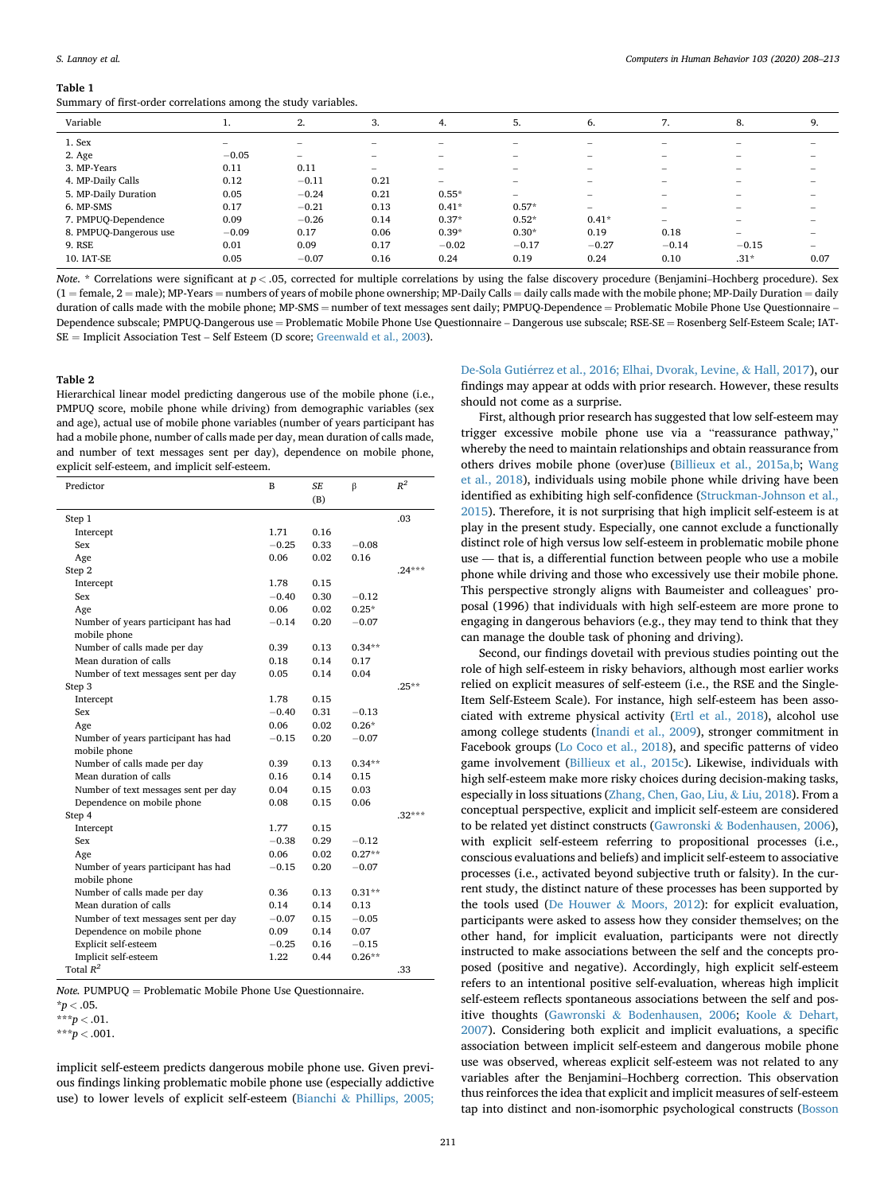#### <span id="page-3-0"></span>**Table 1**

Summary of first-order correlations among the study variables.

| Variable               |         | 2.                       | 3.                              | 4.                | 5.                | 6.                       | 7.                              | 8.                       | 9.                       |
|------------------------|---------|--------------------------|---------------------------------|-------------------|-------------------|--------------------------|---------------------------------|--------------------------|--------------------------|
| 1. Sex                 |         | $\overline{\phantom{0}}$ | $\hspace{0.05cm}$               | $\hspace{0.05cm}$ | $\qquad \qquad$   | $\hspace{0.05cm}$        | $\hspace{0.1mm}-\hspace{0.1mm}$ | $\hspace{0.05cm}$        | $\overline{\phantom{a}}$ |
| 2. Age                 | $-0.05$ | -                        | $\hspace{0.1mm}-\hspace{0.1mm}$ | $\sim$            | $\hspace{0.05cm}$ | $\sim$                   | $\hspace{0.1mm}-\hspace{0.1mm}$ | $\qquad \qquad$          | $\sim$                   |
| 3. MP-Years            | 0.11    | 0.11                     | $\hspace{0.1mm}-\hspace{0.1mm}$ | $\sim$            |                   | $\sim$                   | $\hspace{0.05cm}$               | $\hspace{0.05cm}$        | $\overline{\phantom{a}}$ |
| 4. MP-Daily Calls      | 0.12    | $-0.11$                  | 0.21                            | $\sim$            | $\sim$            | -                        | $\hspace{0.1mm}-\hspace{0.1mm}$ | $\sim$                   | $\sim$                   |
| 5. MP-Daily Duration   | 0.05    | $-0.24$                  | 0.21                            | $0.55*$           | -                 | $\overline{\phantom{a}}$ | $\sim$                          | $\overline{\phantom{a}}$ | $\overline{\phantom{a}}$ |
| 6. MP-SMS              | 0.17    | $-0.21$                  | 0.13                            | $0.41*$           | $0.57*$           | $\overline{\phantom{a}}$ | $\overline{\phantom{a}}$        | $\overline{\phantom{a}}$ |                          |
| 7. PMPUQ-Dependence    | 0.09    | $-0.26$                  | 0.14                            | $0.37*$           | $0.52*$           | $0.41*$                  | $\overline{\phantom{a}}$        | $\overline{\phantom{a}}$ | $\overline{\phantom{a}}$ |
| 8. PMPUQ-Dangerous use | $-0.09$ | 0.17                     | 0.06                            | $0.39*$           | $0.30*$           | 0.19                     | 0.18                            | $\overline{\phantom{0}}$ | $\overline{\phantom{a}}$ |
| 9. RSE                 | 0.01    | 0.09                     | 0.17                            | $-0.02$           | $-0.17$           | $-0.27$                  | $-0.14$                         | $-0.15$                  | -                        |
| 10. IAT-SE             | 0.05    | $-0.07$                  | 0.16                            | 0.24              | 0.19              | 0.24                     | 0.10                            | $.31*$                   | 0.07                     |
|                        |         |                          |                                 |                   |                   |                          |                                 |                          |                          |

*Note.* \* Correlations were significant at  $p < .05$ , corrected for multiple correlations by using the false discovery procedure (Benjamini–Hochberg procedure). Sex  $(1 =$  female,  $2 =$  male); MP-Years = numbers of years of mobile phone ownership; MP-Daily Calls = daily calls made with the mobile phone; MP-Daily Duration = daily duration of calls made with the mobile phone; MP-SMS = number of text messages sent daily; PMPUQ-Dependence = Problematic Mobile Phone Use Questionnaire -Dependence subscale; PMPUQ-Dangerous use = Problematic Mobile Phone Use Questionnaire – Dangerous use subscale; RSE-SE = Rosenberg Self-Esteem Scale; IAT- $SE =$  Implicit Association Test – Self Esteem (D score; [Greenwald et al., 2003](#page-5-0)).

#### **Table 2**

Hierarchical linear model predicting dangerous use of the mobile phone (i.e., PMPUQ score, mobile phone while driving) from demographic variables (sex and age), actual use of mobile phone variables (number of years participant has had a mobile phone, number of calls made per day, mean duration of calls made, and number of text messages sent per day), dependence on mobile phone, explicit self-esteem, and implicit self-esteem.

| Predictor                            | B       | <b>SE</b> | β        | $R^2$    |
|--------------------------------------|---------|-----------|----------|----------|
|                                      |         | (B)       |          |          |
| Step 1                               |         |           |          | .03      |
| Intercept                            | 1.71    | 0.16      |          |          |
| Sex                                  | $-0.25$ | 0.33      | $-0.08$  |          |
| Age                                  | 0.06    | 0.02      | 0.16     |          |
| Step 2                               |         |           |          | $.24***$ |
| Intercept                            | 1.78    | 0.15      |          |          |
| Sex                                  | $-0.40$ | 0.30      | $-0.12$  |          |
| Age                                  | 0.06    | 0.02      | $0.25*$  |          |
| Number of years participant has had  | $-0.14$ | 0.20      | $-0.07$  |          |
| mobile phone                         |         |           |          |          |
| Number of calls made per day         | 0.39    | 0.13      | $0.34**$ |          |
| Mean duration of calls               | 0.18    | 0.14      | 0.17     |          |
| Number of text messages sent per day | 0.05    | 0.14      | 0.04     |          |
| Step 3                               |         |           |          | $.25**$  |
| Intercept                            | 1.78    | 0.15      |          |          |
| Sex                                  | $-0.40$ | 0.31      | $-0.13$  |          |
| Age                                  | 0.06    | 0.02      | $0.26*$  |          |
| Number of years participant has had  | $-0.15$ | 0.20      | $-0.07$  |          |
| mobile phone                         |         |           |          |          |
| Number of calls made per day         | 0.39    | 0.13      | $0.34**$ |          |
| Mean duration of calls               | 0.16    | 0.14      | 0.15     |          |
| Number of text messages sent per day | 0.04    | 0.15      | 0.03     |          |
| Dependence on mobile phone           | 0.08    | 0.15      | 0.06     |          |
| Step 4                               |         |           |          | $.32***$ |
| Intercept                            | 1.77    | 0.15      |          |          |
| Sex                                  | $-0.38$ | 0.29      | $-0.12$  |          |
| Age                                  | 0.06    | 0.02      | $0.27**$ |          |
| Number of years participant has had  | $-0.15$ | 0.20      | $-0.07$  |          |
| mobile phone                         |         |           |          |          |
| Number of calls made per day         | 0.36    | 0.13      | $0.31**$ |          |
| Mean duration of calls               | 0.14    | 0.14      | 0.13     |          |
| Number of text messages sent per day | $-0.07$ | 0.15      | $-0.05$  |          |
| Dependence on mobile phone           | 0.09    | 0.14      | 0.07     |          |
| Explicit self-esteem                 | $-0.25$ | 0.16      | $-0.15$  |          |
| Implicit self-esteem                 | 1.22    | 0.44      | $0.26**$ |          |
| Total $R^2$                          |         |           |          | .33      |

*Note.* PUMPUQ = Problematic Mobile Phone Use Questionnaire.

 $*p < .05$ .

implicit self-esteem predicts dangerous mobile phone use. Given previous findings linking problematic mobile phone use (especially addictive use) to lower levels of explicit self-esteem (Bianchi & [Phillips, 2005;](#page-4-0) 

De-Sola Guti�[errez et al., 2016; Elhai, Dvorak, Levine,](#page-4-0) & Hall, 2017), our findings may appear at odds with prior research. However, these results should not come as a surprise.

First, although prior research has suggested that low self-esteem may trigger excessive mobile phone use via a "reassurance pathway," whereby the need to maintain relationships and obtain reassurance from others drives mobile phone (over)use ([Billieux et al., 2015a,b;](#page-4-0) [Wang](#page-5-0)  [et al., 2018\)](#page-5-0), individuals using mobile phone while driving have been identified as exhibiting high self-confidence [\(Struckman-Johnson et al.,](#page-5-0)  [2015\)](#page-5-0). Therefore, it is not surprising that high implicit self-esteem is at play in the present study. Especially, one cannot exclude a functionally distinct role of high versus low self-esteem in problematic mobile phone use — that is, a differential function between people who use a mobile phone while driving and those who excessively use their mobile phone. This perspective strongly aligns with Baumeister and colleagues' proposal (1996) that individuals with high self-esteem are more prone to engaging in dangerous behaviors (e.g., they may tend to think that they can manage the double task of phoning and driving).

Second, our findings dovetail with previous studies pointing out the role of high self-esteem in risky behaviors, although most earlier works relied on explicit measures of self-esteem (i.e., the RSE and the Single-Item Self-Esteem Scale). For instance, high self-esteem has been associated with extreme physical activity ([Ertl et al., 2018\)](#page-4-0), alcohol use among college students (*[Inandi et al., 2009](#page-5-0)*), stronger commitment in Facebook groups [\(Lo Coco et al., 2018](#page-5-0)), and specific patterns of video game involvement ([Billieux et al., 2015c\)](#page-4-0). Likewise, individuals with high self-esteem make more risky choices during decision-making tasks, especially in loss situations ([Zhang, Chen, Gao, Liu,](#page-5-0) & Liu, 2018). From a conceptual perspective, explicit and implicit self-esteem are considered to be related yet distinct constructs (Gawronski & [Bodenhausen, 2006](#page-5-0)), with explicit self-esteem referring to propositional processes (i.e., conscious evaluations and beliefs) and implicit self-esteem to associative processes (i.e., activated beyond subjective truth or falsity). In the current study, the distinct nature of these processes has been supported by the tools used (De Houwer & [Moors, 2012\)](#page-4-0): for explicit evaluation, participants were asked to assess how they consider themselves; on the other hand, for implicit evaluation, participants were not directly instructed to make associations between the self and the concepts proposed (positive and negative). Accordingly, high explicit self-esteem refers to an intentional positive self-evaluation, whereas high implicit self-esteem reflects spontaneous associations between the self and positive thoughts (Gawronski & [Bodenhausen, 2006](#page-5-0); Koole & [Dehart,](#page-5-0)  [2007\)](#page-5-0). Considering both explicit and implicit evaluations, a specific association between implicit self-esteem and dangerous mobile phone use was observed, whereas explicit self-esteem was not related to any variables after the Benjamini–Hochberg correction. This observation thus reinforces the idea that explicit and implicit measures of self-esteem tap into distinct and non-isomorphic psychological constructs [\(Bosson](#page-4-0) 

 $***p < .01$ .

<sup>\*\*\*</sup>*p <* .001.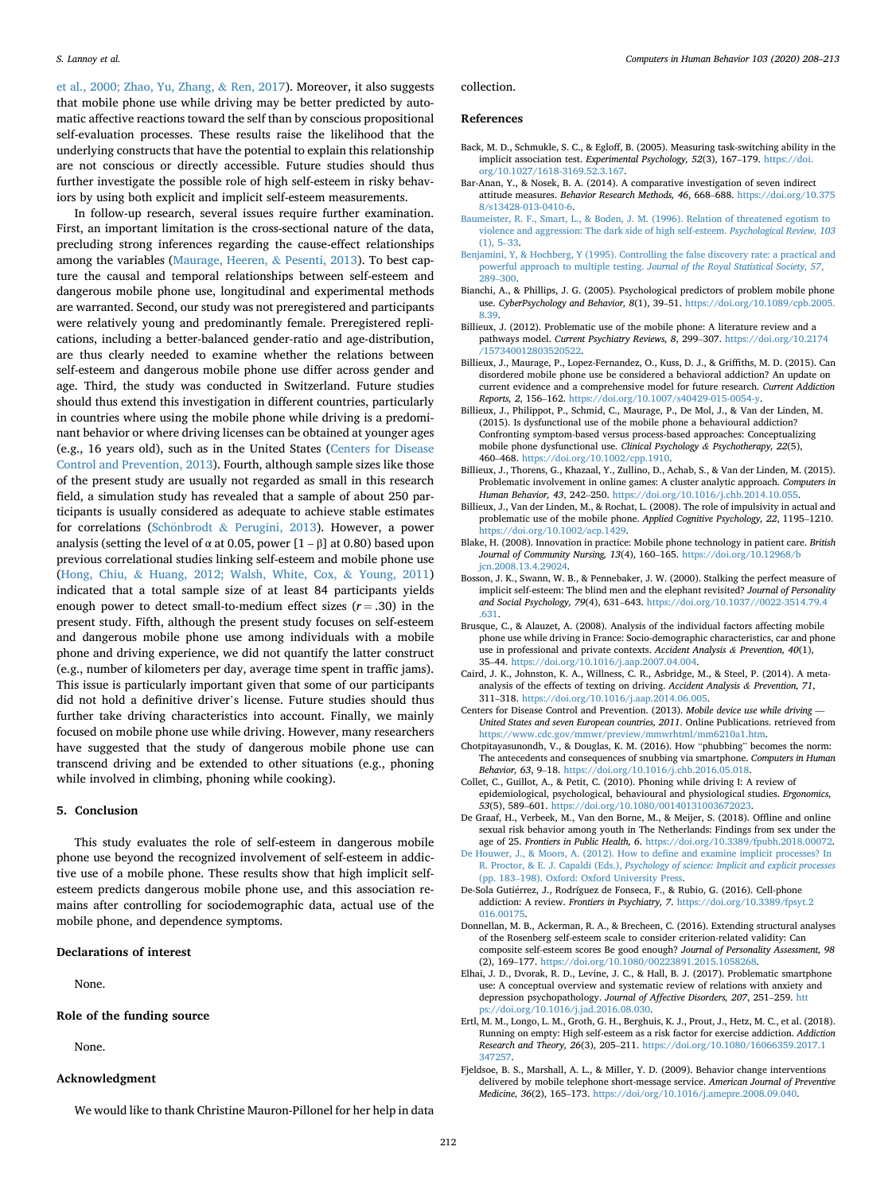<span id="page-4-0"></span>et al., 2000; Zhao, Yu, Zhang, & Ren, 2017). Moreover, it also suggests that mobile phone use while driving may be better predicted by automatic affective reactions toward the self than by conscious propositional self-evaluation processes. These results raise the likelihood that the underlying constructs that have the potential to explain this relationship are not conscious or directly accessible. Future studies should thus further investigate the possible role of high self-esteem in risky behaviors by using both explicit and implicit self-esteem measurements.

In follow-up research, several issues require further examination. First, an important limitation is the cross-sectional nature of the data, precluding strong inferences regarding the cause-effect relationships among the variables [\(Maurage, Heeren,](#page-5-0) & Pesenti, 2013). To best capture the causal and temporal relationships between self-esteem and dangerous mobile phone use, longitudinal and experimental methods are warranted. Second, our study was not preregistered and participants were relatively young and predominantly female. Preregistered replications, including a better-balanced gender-ratio and age-distribution, are thus clearly needed to examine whether the relations between self-esteem and dangerous mobile phone use differ across gender and age. Third, the study was conducted in Switzerland. Future studies should thus extend this investigation in different countries, particularly in countries where using the mobile phone while driving is a predominant behavior or where driving licenses can be obtained at younger ages (e.g., 16 years old), such as in the United States (Centers for Disease Control and Prevention, 2013). Fourth, although sample sizes like those of the present study are usually not regarded as small in this research field, a simulation study has revealed that a sample of about 250 participants is usually considered as adequate to achieve stable estimates for correlations (Schönbrodt & [Perugini, 2013\)](#page-5-0). However, a power analysis (setting the level of  $\alpha$  at 0.05, power [1 –  $\beta$ ] at 0.80) based upon previous correlational studies linking self-esteem and mobile phone use (Hong, Chiu, & [Huang, 2012; Walsh, White, Cox,](#page-5-0) & Young, 2011) indicated that a total sample size of at least 84 participants yields enough power to detect small-to-medium effect sizes  $(r = .30)$  in the present study. Fifth, although the present study focuses on self-esteem and dangerous mobile phone use among individuals with a mobile phone and driving experience, we did not quantify the latter construct (e.g., number of kilometers per day, average time spent in traffic jams). This issue is particularly important given that some of our participants did not hold a definitive driver's license. Future studies should thus further take driving characteristics into account. Finally, we mainly focused on mobile phone use while driving. However, many researchers have suggested that the study of dangerous mobile phone use can transcend driving and be extended to other situations (e.g., phoning while involved in climbing, phoning while cooking).

# **5. Conclusion**

This study evaluates the role of self-esteem in dangerous mobile phone use beyond the recognized involvement of self-esteem in addictive use of a mobile phone. These results show that high implicit selfesteem predicts dangerous mobile phone use, and this association remains after controlling for sociodemographic data, actual use of the mobile phone, and dependence symptoms.

#### **Declarations of interest**

None.

# **Role of the funding source**

None.

#### **Acknowledgment**

We would like to thank Christine Mauron-Pillonel for her help in data

collection.

#### **References**

- Back, M. D., Schmukle, S. C., & Egloff, B. (2005). Measuring task-switching ability in the implicit association test. *Experimental Psychology, 52*(3), 167–179. [https://doi.](https://doi.org/10.1027/1618-3169.52.3.167)  [org/10.1027/1618-3169.52.3.167](https://doi.org/10.1027/1618-3169.52.3.167).
- Bar-Anan, Y., & Nosek, B. A. (2014). A comparative investigation of seven indirect attitude measures. *Behavior Research Methods, 46*, 668–688. [https://doi.org/10.375](https://doi.org/10.3758/s13428-013-0410-6) [8/s13428-013-0410-6.](https://doi.org/10.3758/s13428-013-0410-6)
- [Baumeister, R. F., Smart, L., & Boden, J. M. \(1996\). Relation of threatened egotism to](http://refhub.elsevier.com/S0747-5632(19)30347-4/sref3) [violence and aggression: The dark side of high self-esteem.](http://refhub.elsevier.com/S0747-5632(19)30347-4/sref3) *Psychological Review, 103*  [\(1\), 5](http://refhub.elsevier.com/S0747-5632(19)30347-4/sref3)–33.
- [Benjamini, Y, & Hochberg, Y \(1995\). Controlling the false discovery rate: a practical and](http://refhub.elsevier.com/S0747-5632(19)30347-4/sref61)  powerful approach to multiple testing. *[Journal of the Royal Statistical Society, 57](http://refhub.elsevier.com/S0747-5632(19)30347-4/sref61)*, 289–[300](http://refhub.elsevier.com/S0747-5632(19)30347-4/sref61).
- Bianchi, A., & Phillips, J. G. (2005). Psychological predictors of problem mobile phone use. *CyberPsychology and Behavior, 8*(1), 39–51. [https://doi.org/10.1089/cpb.2005.](https://doi.org/10.1089/cpb.2005.8.39) [8.39](https://doi.org/10.1089/cpb.2005.8.39).
- Billieux, J. (2012). Problematic use of the mobile phone: A literature review and a pathways model. *Current Psychiatry Reviews, 8*, 299–307. [https://doi.org/10.2174](https://doi.org/10.2174/157340012803520522)  [/157340012803520522](https://doi.org/10.2174/157340012803520522).
- Billieux, J., Maurage, P., Lopez-Fernandez, O., Kuss, D. J., & Griffiths, M. D. (2015). Can disordered mobile phone use be considered a behavioral addiction? An update on current evidence and a comprehensive model for future research. *Current Addiction Reports, 2*, 156–162.<https://doi.org/10.1007/s40429-015-0054-y>.
- Billieux, J., Philippot, P., Schmid, C., Maurage, P., De Mol, J., & Van der Linden, M. (2015). Is dysfunctional use of the mobile phone a behavioural addiction? Confronting symptom-based versus process-based approaches: Conceptualizing mobile phone dysfunctional use. *Clinical Psychology & Psychotherapy, 22*(5), 460–468. <https://doi.org/10.1002/cpp.1910>.
- Billieux, J., Thorens, G., Khazaal, Y., Zullino, D., Achab, S., & Van der Linden, M. (2015). Problematic involvement in online games: A cluster analytic approach. *Computers in Human Behavior, 43*, 242–250. [https://doi.org/10.1016/j.chb.2014.10.055.](https://doi.org/10.1016/j.chb.2014.10.055)
- Billieux, J., Van der Linden, M., & Rochat, L. (2008). The role of impulsivity in actual and problematic use of the mobile phone. *Applied Cognitive Psychology, 22*, 1195–1210. <https://doi.org/10.1002/acp.1429>.
- Blake, H. (2008). Innovation in practice: Mobile phone technology in patient care. *British Journal of Community Nursing, 13*(4), 160–165. [https://doi.org/10.12968/b](https://doi.org/10.12968/bjcn.2008.13.4.29024)  [jcn.2008.13.4.29024](https://doi.org/10.12968/bjcn.2008.13.4.29024).
- Bosson, J. K., Swann, W. B., & Pennebaker, J. W. (2000). Stalking the perfect measure of implicit self-esteem: The blind men and the elephant revisited? *Journal of Personality and Social Psychology, 79*(4), 631–643. [https://doi.org/10.1037//0022-3514.79.4](https://doi.org/10.1037//0022-3514.79.4.631) [.631](https://doi.org/10.1037//0022-3514.79.4.631).
- Brusque, C., & Alauzet, A. (2008). Analysis of the individual factors affecting mobile phone use while driving in France: Socio-demographic characteristics, car and phone use in professional and private contexts. *Accident Analysis & Prevention, 40*(1), 35–44. <https://doi.org/10.1016/j.aap.2007.04.004>.
- Caird, J. K., Johnston, K. A., Willness, C. R., Asbridge, M., & Steel, P. (2014). A metaanalysis of the effects of texting on driving. *Accident Analysis & Prevention, 71*, 311–318. <https://doi.org/10.1016/j.aap.2014.06.005>.
- Centers for Disease Control and Prevention. (2013). *Mobile device use while driving United States and seven European countries, 2011*. Online Publications. retrieved from [https://www.cdc.gov/mmwr/preview/mmwrhtml/mm6210a1.htm.](https://www.cdc.gov/mmwr/preview/mmwrhtml/mm6210a1.htm)
- Chotpitayasunondh, V., & Douglas, K. M. (2016). How "phubbing" becomes the norm: The antecedents and consequences of snubbing via smartphone. *Computers in Human Behavior, 63*, 9–18. <https://doi.org/10.1016/j.chb.2016.05.018>.
- Collet, C., Guillot, A., & Petit, C. (2010). Phoning while driving I: A review of epidemiological, psychological, behavioural and physiological studies. *Ergonomics, 53*(5), 589–601. <https://doi.org/10.1080/00140131003672023>.
- De Graaf, H., Verbeek, M., Van den Borne, M., & Meijer, S. (2018). Offline and online sexual risk behavior among youth in The Netherlands: Findings from sex under the age of 25. *Frontiers in Public Health, 6*.<https://doi.org/10.3389/fpubh.2018.00072>.
- [De Houwer, J., & Moors, A. \(2012\). How to define and examine implicit processes? In](http://refhub.elsevier.com/S0747-5632(19)30347-4/sref19) R. Proctor, & E. J. Capaldi (Eds.), *[Psychology of science: Implicit and explicit processes](http://refhub.elsevier.com/S0747-5632(19)30347-4/sref19)*  (pp. 183–[198\). Oxford: Oxford University Press.](http://refhub.elsevier.com/S0747-5632(19)30347-4/sref19)
- De-Sola Guti�errez, J., Rodríguez de Fonseca, F., & Rubio, G. (2016). Cell-phone addiction: A review. *Frontiers in Psychiatry, 7*. [https://doi.org/10.3389/fpsyt.2](https://doi.org/10.3389/fpsyt.2016.00175) [016.00175](https://doi.org/10.3389/fpsyt.2016.00175)
- Donnellan, M. B., Ackerman, R. A., & Brecheen, C. (2016). Extending structural analyses of the Rosenberg self-esteem scale to consider criterion-related validity: Can composite self-esteem scores Be good enough? *Journal of Personality Assessment, 98*  (2), 169–177.<https://doi.org/10.1080/00223891.2015.1058268>.
- Elhai, J. D., Dvorak, R. D., Levine, J. C., & Hall, B. J. (2017). Problematic smartphone use: A conceptual overview and systematic review of relations with anxiety and depression psychopathology. *Journal of Affective Disorders, 207*, 251–259. [htt](https://doi.org/10.1016/j.jad.2016.08.030)  [ps://doi.org/10.1016/j.jad.2016.08.030](https://doi.org/10.1016/j.jad.2016.08.030).
- Ertl, M. M., Longo, L. M., Groth, G. H., Berghuis, K. J., Prout, J., Hetz, M. C., et al. (2018). Running on empty: High self-esteem as a risk factor for exercise addiction. *Addiction Research and Theory, 26*(3), 205–211. [https://doi.org/10.1080/16066359.2017.1](https://doi.org/10.1080/16066359.2017.1347257) [347257](https://doi.org/10.1080/16066359.2017.1347257).
- Fjeldsoe, B. S., Marshall, A. L., & Miller, Y. D. (2009). Behavior change interventions delivered by mobile telephone short-message service. *American Journal of Preventive Medicine, 36*(2), 165–173. [https://doi/org/10.1016/j.amepre.2008.09.040.](https://doi/org/10.1016/j.amepre.2008.09.040)